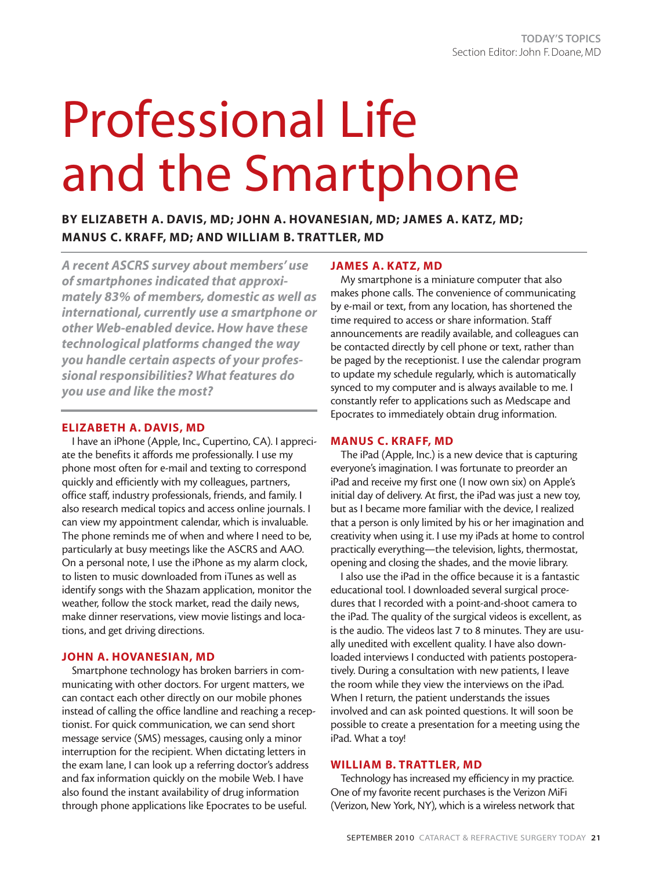# Professional Life and the Smartphone

# **BY ELIZABETH A. DAVIS, MD; JOHN A. HOVANESIAN, MD; JAMES A. KATZ, MD; MANUS C. KRAFF, MD; AND WILLIAM B. TRATTLER, MD**

*A recent ASCRS survey about members' use of smartphones indicated that approximately 83% of members, domestic as well as international, currently use a smartphone or other Web-enabled device. How have these technological platforms changed the way you handle certain aspects of your professional responsibilities? What features do you use and like the most?* 

# **ELIZABETH A. DAVIS, MD**

I have an iPhone (Apple, Inc., Cupertino, CA). I appreciate the benefits it affords me professionally. I use my phone most often for e-mail and texting to correspond quickly and efficiently with my colleagues, partners, office staff, industry professionals, friends, and family. I also research medical topics and access online journals. I can view my appointment calendar, which is invaluable. The phone reminds me of when and where I need to be, particularly at busy meetings like the ASCRS and AAO. On a personal note, I use the iPhone as my alarm clock, to listen to music downloaded from iTunes as well as identify songs with the Shazam application, monitor the weather, follow the stock market, read the daily news, make dinner reservations, view movie listings and locations, and get driving directions.

## **JOHN A. HOVANESIAN, MD**

Smartphone technology has broken barriers in communicating with other doctors. For urgent matters, we can contact each other directly on our mobile phones instead of calling the office landline and reaching a receptionist. For quick communication, we can send short message service (SMS) messages, causing only a minor interruption for the recipient. When dictating letters in the exam lane, I can look up a referring doctor's address and fax information quickly on the mobile Web. I have also found the instant availability of drug information through phone applications like Epocrates to be useful.

# **JAMES A. KATZ, MD**

My smartphone is a miniature computer that also makes phone calls. The convenience of communicating by e-mail or text, from any location, has shortened the time required to access or share information. Staff announcements are readily available, and colleagues can be contacted directly by cell phone or text, rather than be paged by the receptionist. I use the calendar program to update my schedule regularly, which is automatically synced to my computer and is always available to me. I constantly refer to applications such as Medscape and Epocrates to immediately obtain drug information.

# **MANUS C. KRAFF, MD**

The iPad (Apple, Inc.) is a new device that is capturing everyone's imagination. I was fortunate to preorder an iPad and receive my first one (I now own six) on Apple's initial day of delivery. At first, the iPad was just a new toy, but as I became more familiar with the device, I realized that a person is only limited by his or her imagination and creativity when using it. I use my iPads at home to control practically everything—the television, lights, thermostat, opening and closing the shades, and the movie library.

I also use the iPad in the office because it is a fantastic educational tool. I downloaded several surgical procedures that I recorded with a point-and-shoot camera to the iPad. The quality of the surgical videos is excellent, as is the audio. The videos last 7 to 8 minutes. They are usually unedited with excellent quality. I have also downloaded interviews I conducted with patients postoperatively. During a consultation with new patients, I leave the room while they view the interviews on the iPad. When I return, the patient understands the issues involved and can ask pointed questions. It will soon be possible to create a presentation for a meeting using the iPad. What a toy!

# **WILLIAM B. TRATTLER, MD**

Technology has increased my efficiency in my practice. One of my favorite recent purchases is the Verizon MiFi (Verizon, New York, NY), which is a wireless network that